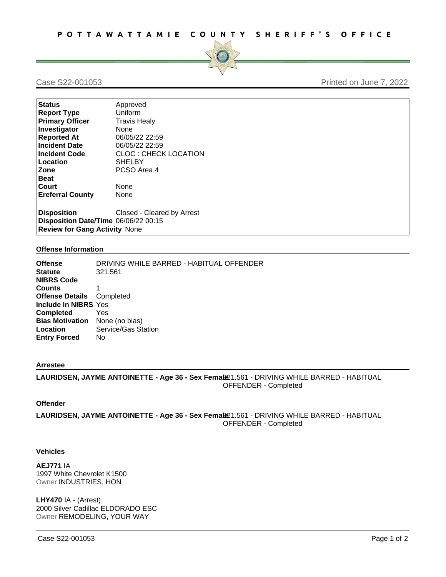

# Case S22-001053 Printed on June 7, 2022

| <b>Status</b>                                                                | Approved                    |
|------------------------------------------------------------------------------|-----------------------------|
| <b>Report Type</b>                                                           | Uniform                     |
| <b>Primary Officer</b>                                                       | <b>Travis Healy</b>         |
| Investigator                                                                 | None                        |
| <b>Reported At</b>                                                           | 06/05/22 22:59              |
| <b>Incident Date</b>                                                         | 06/05/22 22:59              |
| <b>Incident Code</b>                                                         | <b>CLOC: CHECK LOCATION</b> |
| Location                                                                     | <b>SHELBY</b>               |
| Zone                                                                         | PCSO Area 4                 |
| <b>Beat</b>                                                                  |                             |
| Court                                                                        | None                        |
| <b>Ereferral County</b>                                                      | None                        |
| <b>Disposition</b>                                                           | Closed - Cleared by Arrest  |
|                                                                              |                             |
| Disposition Date/Time 06/06/22 00:15<br><b>Review for Gang Activity None</b> |                             |
|                                                                              |                             |

# **Offense Information**

| <b>Offense</b><br><b>Statute</b><br><b>NIBRS Code</b> | DRIVING WHILE BARRED - HABITUAL OFFENDER<br>321.561 |
|-------------------------------------------------------|-----------------------------------------------------|
| <b>Counts</b>                                         |                                                     |
|                                                       |                                                     |
| <b>Offense Details</b> Completed                      |                                                     |
| Include In NIBRS Yes                                  |                                                     |
| <b>Completed</b>                                      | Yes                                                 |
| <b>Bias Motivation</b> None (no bias)                 |                                                     |
| Location                                              | Service/Gas Station                                 |
| <b>Entry Forced</b>                                   | No.                                                 |
|                                                       |                                                     |

### **Arrestee**

**LAURIDSEN, JAYME ANTOINETTE - Age 36 - Sex Femal**3**e**21.561 - DRIVING WHILE BARRED - HABITUAL OFFENDER - Completed

# **Offender**

**LAURIDSEN, JAYME ANTOINETTE - Age 36 - Sex Femal**3**e**21.561 - DRIVING WHILE BARRED - HABITUAL OFFENDER - Completed

# **Vehicles**

**AEJ771** IA 1997 White Chevrolet K1500 Owner INDUSTRIES, HON

**LHY470** IA - (Arrest) 2000 Silver Cadillac ELDORADO ESC Owner REMODELING, YOUR WAY